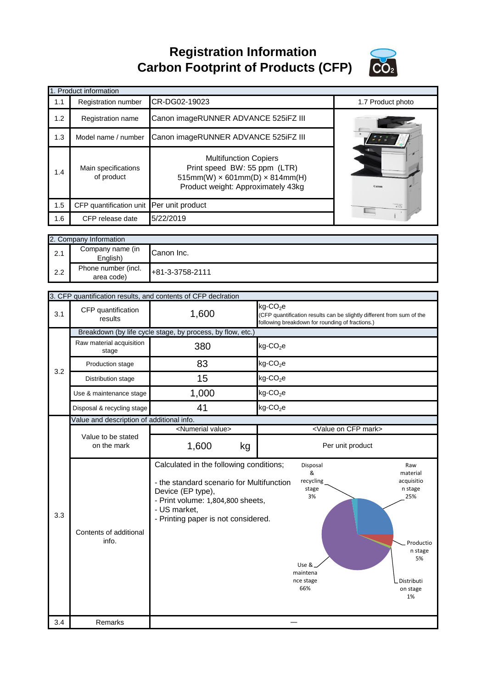**Registration Information Carbon Footprint of Products (CFP)**



|     | 1. Product information            |                                                                                                                                                  |                                                                            |                                                                                                                                                                                                                                                                                                                                                 |
|-----|-----------------------------------|--------------------------------------------------------------------------------------------------------------------------------------------------|----------------------------------------------------------------------------|-------------------------------------------------------------------------------------------------------------------------------------------------------------------------------------------------------------------------------------------------------------------------------------------------------------------------------------------------|
| 1.1 | Registration number               | CR-DG02-19023                                                                                                                                    |                                                                            | 1.7 Product photo                                                                                                                                                                                                                                                                                                                               |
| 1.2 | Registration name                 | Canon imageRUNNER ADVANCE 525iFZ III                                                                                                             |                                                                            |                                                                                                                                                                                                                                                                                                                                                 |
| 1.3 | Model name / number               | Canon imageRUNNER ADVANCE 525iFZ III                                                                                                             |                                                                            |                                                                                                                                                                                                                                                                                                                                                 |
| 1.4 | Main specifications<br>of product | <b>Multifunction Copiers</b><br>Print speed BW: 55 ppm (LTR)<br>$515mm(W) \times 601mm(D) \times 814mm(H)$<br>Product weight: Approximately 43kg |                                                                            | Canor                                                                                                                                                                                                                                                                                                                                           |
| 1.5 | CFP quantification unit           | Per unit product                                                                                                                                 |                                                                            | $\frac{1}{\frac{1}{2} \sum_{i=1}^{n} \sum_{j=1}^{n} \sum_{j=1}^{n} \sum_{j=1}^{n} \sum_{j=1}^{n} \sum_{j=1}^{n} \sum_{j=1}^{n} \sum_{j=1}^{n} \sum_{j=1}^{n} \sum_{j=1}^{n} \sum_{j=1}^{n} \sum_{j=1}^{n} \sum_{j=1}^{n} \sum_{j=1}^{n} \sum_{j=1}^{n} \sum_{j=1}^{n} \sum_{j=1}^{n} \sum_{j=1}^{n} \sum_{j=1}^{n} \sum_{j=1}^{n} \sum_{j=1}^{$ |
| 1.6 | CFP release date                  | 5/22/2019                                                                                                                                        |                                                                            |                                                                                                                                                                                                                                                                                                                                                 |
|     | 2. Company Information            |                                                                                                                                                  |                                                                            |                                                                                                                                                                                                                                                                                                                                                 |
| 2.1 | Company name (in<br>English)      | Canon Inc.                                                                                                                                       |                                                                            |                                                                                                                                                                                                                                                                                                                                                 |
| 2.2 | Phone number (incl.<br>area code) | +81-3-3758-2111                                                                                                                                  |                                                                            |                                                                                                                                                                                                                                                                                                                                                 |
|     |                                   | 3. CFP quantification results, and contents of CFP declration                                                                                    |                                                                            |                                                                                                                                                                                                                                                                                                                                                 |
| 3.1 | CFP quantification<br>results     | 1,600                                                                                                                                            | $kg$ -CO <sub>2</sub> e<br>following breakdown for rounding of fractions.) | (CFP quantification results can be slightly different from sum of the                                                                                                                                                                                                                                                                           |

|     | 3. CFP quantification results, and contents of CFP declration |                                                                                                                                                                                                       |                                                                                                                                                                                                     |  |  |
|-----|---------------------------------------------------------------|-------------------------------------------------------------------------------------------------------------------------------------------------------------------------------------------------------|-----------------------------------------------------------------------------------------------------------------------------------------------------------------------------------------------------|--|--|
| 3.1 | CFP quantification<br>results                                 | 1,600                                                                                                                                                                                                 | kg-CO <sub>2</sub> e<br>(CFP quantification results can be slightly different from sum of the<br>following breakdown for rounding of fractions.)                                                    |  |  |
|     |                                                               | Breakdown (by life cycle stage, by process, by flow, etc.)                                                                                                                                            |                                                                                                                                                                                                     |  |  |
|     | Raw material acquisition<br>stage                             | 380                                                                                                                                                                                                   | $kg$ -CO <sub>2</sub> e                                                                                                                                                                             |  |  |
| 3.2 | Production stage                                              | 83                                                                                                                                                                                                    | $kg$ -CO <sub>2</sub> e                                                                                                                                                                             |  |  |
|     | Distribution stage                                            | 15                                                                                                                                                                                                    | $kg$ -CO <sub>2</sub> e                                                                                                                                                                             |  |  |
|     | Use & maintenance stage                                       | 1,000                                                                                                                                                                                                 | $kg$ -CO <sub>2</sub> e                                                                                                                                                                             |  |  |
|     | Disposal & recycling stage                                    | 41                                                                                                                                                                                                    | $kg$ -CO <sub>2</sub> e                                                                                                                                                                             |  |  |
|     | Value and description of additional info.                     |                                                                                                                                                                                                       |                                                                                                                                                                                                     |  |  |
|     | Value to be stated                                            | <numerial value=""></numerial>                                                                                                                                                                        | <value cfp="" mark="" on=""></value>                                                                                                                                                                |  |  |
|     | on the mark                                                   | 1,600<br>kg                                                                                                                                                                                           | Per unit product                                                                                                                                                                                    |  |  |
| 3.3 | Contents of additional<br>info.                               | Calculated in the following conditions;<br>- the standard scenario for Multifunction<br>Device (EP type),<br>- Print volume: 1,804,800 sheets,<br>- US market,<br>- Printing paper is not considered. | Disposal<br>Raw<br>&<br>material<br>recycling<br>acquisitio<br>stage<br>n stage<br>3%<br>25%<br>Productio<br>n stage<br>5%<br>Use &<br>maintena<br>Distributi<br>nce stage<br>66%<br>on stage<br>1% |  |  |
| 3.4 | Remarks                                                       |                                                                                                                                                                                                       |                                                                                                                                                                                                     |  |  |